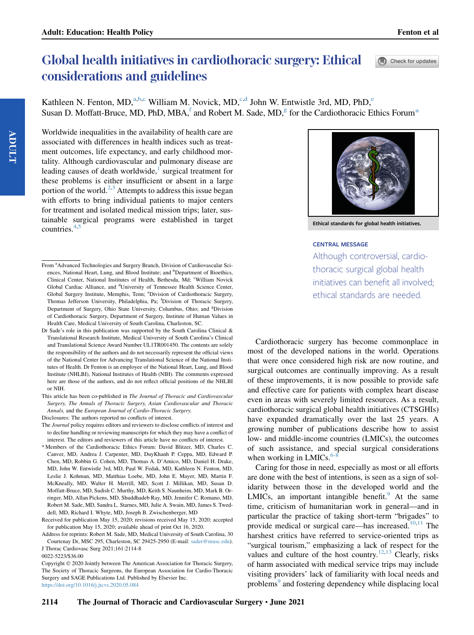Check for updates

# Global health initiatives in cardiothoracic surgery: Ethical considerations and guidelines

Kathleen N. Fenton, MD,<sup>a,b,c</sup> William M. Novick, MD,<sup>c,d</sup> John W. Entwistle 3rd, MD, PhD,<sup>e</sup> Susan D. Moffatt-Bruce, MD, PhD, MBA, $^f$  and Robert M. Sade, MD, $^g$  for the Cardiothoracic Ethics Forum\*

Worldwide inequalities in the availability of health care are associated with differences in health indices such as treatment outcomes, life expectancy, and early childhood mortality. Although cardiovascular and pulmonary disease are leading causes of death worldwide, $\frac{1}{2}$  $\frac{1}{2}$  $\frac{1}{2}$  surgical treatment for these problems is either insufficient or absent in a large portion of the world. $2,3$  $2,3$  Attempts to address this issue began with efforts to bring individual patients to major centers for treatment and isolated medical mission trips; later, sustainable surgical programs were established in target countries. $4,5$  $4,5$ 

- The *Journal* policy requires editors and reviewers to disclose conflicts of interest and to decline handling or reviewing manuscripts for which they may have a conflict of interest. The editors and reviewers of this article have no conflicts of interest.
- \* Members of the Cardiothoracic Ethics Forum: David Blitzer, MD, Charles C. Canver, MD, Andrea J. Carpenter, MD, DuyKhanh P. Ceppa, MD, Edward P. Chen, MD, Robbin G. Cohen, MD, Thomas A. D'Amico, MD, Daniel H. Drake, MD, John W. Entwistle 3rd, MD, Paul W. Fedak, MD, Kathleen N. Fenton, MD, Leslie J. Kohman, MD, Matthias Loebe, MD, John E. Mayer, MD, Martin F. McKneally, MD, Walter H. Merrill, MD, Scott J. Millikan, MD, Susan D. Moffatt-Bruce, MD, Sudish C. Murthy, MD, Keith S. Naunheim, MD, Mark B. Orringer, MD, Allan Pickens, MD, Shuddhadeb Ray, MD, Jennifer C. Romano, MD, Robert M. Sade, MD, Sandra L. Starnes, MD, Julie A. Swain, MD, James S. Tweddell, MD, Richard I. Whyte, MD, Joseph B. Zwischenberger, MD
- Received for publication May 15, 2020; revisions received May 15, 2020; accepted for publication May 15, 2020; available ahead of print Oct 16, 2020.
- Address for reprints: Robert M. Sade, MD, Medical University of South Carolina, 30 Courtenay Dr, MSC 295, Charleston, SC 29425-2950 (E-mail: [sader@musc.edu\)](mailto:sader@musc.edu). J Thorac Cardiovasc Surg 2021;161:2114-8

0022-5223/\$36.00



Ethical standards for global health initiatives.

#### CENTRAL MESSAGE

Although controversial, cardiothoracic surgical global health initiatives can benefit all involved; ethical standards are needed.

Cardiothoracic surgery has become commonplace in most of the developed nations in the world. Operations that were once considered high risk are now routine, and surgical outcomes are continually improving. As a result of these improvements, it is now possible to provide safe and effective care for patients with complex heart disease even in areas with severely limited resources. As a result, cardiothoracic surgical global health initiatives (CTSGHIs) have expanded dramatically over the last 25 years. A growing number of publications describe how to assist low- and middle-income countries (LMICs), the outcomes of such assistance, and special surgical considerations when working in LMICs. $6-8$ 

Caring for those in need, especially as most or all efforts are done with the best of intentions, is seen as a sign of solidarity between those in the developed world and the LMICs, an important intangible benefit. $<sup>9</sup>$  $<sup>9</sup>$  $<sup>9</sup>$  At the same</sup> time, criticism of humanitarian work in general—and in Livit Let all means intended below. At the same<br>time, criticism of humanitarian work in general—and in<br>particular the practice of taking short-term "brigades" to provide medical or surgical care—has increased.<sup>[10](#page-4-0)[,11](#page-4-1)</sup> The harshest critics have referred to service-oriented trips as surgical tourism," emphasizing a lack of respect for the values and culture of the host country.<sup>[12](#page-4-2)[,13](#page-4-3)</sup> Clearly, risks of harm associated with medical service trips may include visiting providers' lack of familiarity with local needs and problems<sup>[9](#page-3-6)</sup> and fostering dependency while displacing local

From <sup>a</sup>Advanced Technologies and Surgery Branch, Division of Cardiovascular Sciences, National Heart, Lung, and Blood Institute; and <sup>b</sup>Department of Bioethics, Clinical Center, National Institutes of Health, Bethesda, Md; <sup>c</sup>William Novick Global Cardiac Alliance, and <sup>d</sup>University of Tennessee Health Science Center, Global Surgery Institute, Memphis, Tenn; <sup>e</sup>Division of Cardiothoracic Surgery, Thomas Jefferson University, Philadelphia, Pa; <sup>f</sup>Division of Thoracic Surgery, Department of Surgery, Ohio State University, Columbus, Ohio; and <sup>g</sup>Division of Cardiothoracic Surgery, Department of Surgery, Institute of Human Values in Health Care, Medical University of South Carolina, Charleston, SC.

Dr Sade's role in this publication was supported by the South Carolina Clinical & Translational Research Institute, Medical University of South Carolina's Clinical and Translational Science Award Number UL1TR001450. The contents are solely the responsibility of the authors and do not necessarily represent the official views of the National Center for Advancing Translational Science of the National Institutes of Health. Dr Fenton is an employee of the National Heart, Lung, and Blood Institute (NHLBI), National Institutes of Health (NIH). The comments expressed here are those of the authors, and do not reflect official positions of the NHLBI or NIH.

This article has been co-published in The Journal of Thoracic and Cardiovascular Surgery, The Annals of Thoracic Surgery, Asian Cardiovascular and Thoracic Annals, and the European Journal of Cardio-Thoracic Surgery.

Disclosures: The authors reported no conflicts of interest.

Copyright  $\odot$  2020 Jointly between The American Association for Thoracic Surgery, The Society of Thoracic Surgeons, the European Association for Cardio-Thoracic Surgery and SAGE Publications Ltd. Published by Elsevier Inc. <https://doi.org/10.1016/j.jtcvs.2020.05.084>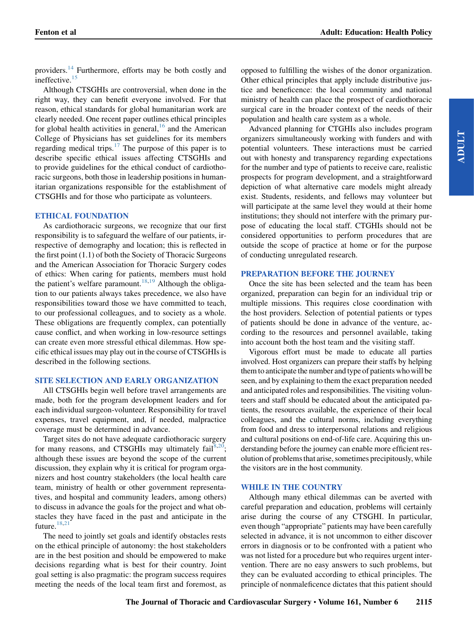providers[.14](#page-4-4) Furthermore, efforts may be both costly and ineffective.<sup>15</sup>

Although CTSGHIs are controversial, when done in the right way, they can benefit everyone involved. For that reason, ethical standards for global humanitarian work are clearly needed. One recent paper outlines ethical principles for global health activities in general,<sup>[16](#page-4-6)</sup> and the American College of Physicians has set guidelines for its members regarding medical trips. $17$  The purpose of this paper is to describe specific ethical issues affecting CTSGHIs and to provide guidelines for the ethical conduct of cardiothoracic surgeons, both those in leadership positions in humanitarian organizations responsible for the establishment of CTSGHIs and for those who participate as volunteers.

### ETHICAL FOUNDATION

As cardiothoracic surgeons, we recognize that our first responsibility is to safeguard the welfare of our patients, irrespective of demography and location; this is reflected in the first point (1.1) of both the Society of Thoracic Surgeons and the American Association for Thoracic Surgery codes of ethics: When caring for patients, members must hold the patient's welfare paramount.<sup>[18](#page-4-8),[19](#page-4-9)</sup> Although the obligation to our patients always takes precedence, we also have responsibilities toward those we have committed to teach, to our professional colleagues, and to society as a whole. These obligations are frequently complex, can potentially cause conflict, and when working in low-resource settings can create even more stressful ethical dilemmas. How specific ethical issues may play out in the course of CTSGHIs is described in the following sections.

### SITE SELECTION AND EARLY ORGANIZATION

All CTSGHIs begin well before travel arrangements are made, both for the program development leaders and for each individual surgeon-volunteer. Responsibility for travel expenses, travel equipment, and, if needed, malpractice coverage must be determined in advance.

Target sites do not have adequate cardiothoracic surgery for many reasons, and CTSGHIs may ultimately fail<sup>[8](#page-3-7),20</sup>; although these issues are beyond the scope of the current discussion, they explain why it is critical for program organizers and host country stakeholders (the local health care team, ministry of health or other government representatives, and hospital and community leaders, among others) to discuss in advance the goals for the project and what obstacles they have faced in the past and anticipate in the future.<sup>[18](#page-4-8)[,21](#page-4-11)</sup>

The need to jointly set goals and identify obstacles rests on the ethical principle of autonomy: the host stakeholders are in the best position and should be empowered to make decisions regarding what is best for their country. Joint goal setting is also pragmatic: the program success requires meeting the needs of the local team first and foremost, as

opposed to fulfilling the wishes of the donor organization. Other ethical principles that apply include distributive justice and beneficence: the local community and national ministry of health can place the prospect of cardiothoracic surgical care in the broader context of the needs of their population and health care system as a whole.

Advanced planning for CTGHIs also includes program organizers simultaneously working with funders and with potential volunteers. These interactions must be carried out with honesty and transparency regarding expectations for the number and type of patients to receive care, realistic prospects for program development, and a straightforward depiction of what alternative care models might already exist. Students, residents, and fellows may volunteer but will participate at the same level they would at their home institutions; they should not interfere with the primary purpose of educating the local staff. CTGHIs should not be considered opportunities to perform procedures that are outside the scope of practice at home or for the purpose of conducting unregulated research.

## PREPARATION BEFORE THE JOURNEY

Once the site has been selected and the team has been organized, preparation can begin for an individual trip or multiple missions. This requires close coordination with the host providers. Selection of potential patients or types of patients should be done in advance of the venture, according to the resources and personnel available, taking into account both the host team and the visiting staff.

Vigorous effort must be made to educate all parties involved. Host organizers can prepare their staffs by helping them to anticipate the number and type of patients who will be seen, and by explaining to them the exact preparation needed and anticipated roles and responsibilities. The visiting volunteers and staff should be educated about the anticipated patients, the resources available, the experience of their local colleagues, and the cultural norms, including everything from food and dress to interpersonal relations and religious and cultural positions on end-of-life care. Acquiring this understanding before the journey can enable more efficient resolution of problems that arise, sometimes precipitously, while the visitors are in the host community.

# WHILE IN THE COUNTRY

Although many ethical dilemmas can be averted with careful preparation and education, problems will certainly arise during the course of any CTSGHI. In particular, careful preparation and education, problems will certainly<br>arise during the course of any CTSGHI. In particular,<br>even though "appropriate" patients may have been carefully selected in advance, it is not uncommon to either discover errors in diagnosis or to be confronted with a patient who was not listed for a procedure but who requires urgent intervention. There are no easy answers to such problems, but they can be evaluated according to ethical principles. The principle of nonmaleficence dictates that this patient should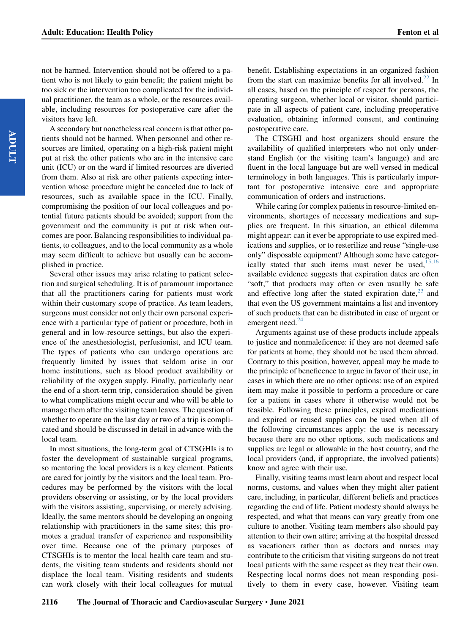not be harmed. Intervention should not be offered to a patient who is not likely to gain benefit; the patient might be too sick or the intervention too complicated for the individual practitioner, the team as a whole, or the resources available, including resources for postoperative care after the visitors have left.

A secondary but nonetheless real concern is that other patients should not be harmed. When personnel and other resources are limited, operating on a high-risk patient might put at risk the other patients who are in the intensive care unit (ICU) or on the ward if limited resources are diverted from them. Also at risk are other patients expecting intervention whose procedure might be canceled due to lack of resources, such as available space in the ICU. Finally, compromising the position of our local colleagues and potential future patients should be avoided; support from the government and the community is put at risk when outcomes are poor. Balancing responsibilities to individual patients, to colleagues, and to the local community as a whole may seem difficult to achieve but usually can be accomplished in practice.

Several other issues may arise relating to patient selection and surgical scheduling. It is of paramount importance that all the practitioners caring for patients must work within their customary scope of practice. As team leaders, surgeons must consider not only their own personal experience with a particular type of patient or procedure, both in general and in low-resource settings, but also the experience of the anesthesiologist, perfusionist, and ICU team. The types of patients who can undergo operations are frequently limited by issues that seldom arise in our home institutions, such as blood product availability or reliability of the oxygen supply. Finally, particularly near the end of a short-term trip, consideration should be given to what complications might occur and who will be able to manage them after the visiting team leaves. The question of whether to operate on the last day or two of a trip is complicated and should be discussed in detail in advance with the local team.

In most situations, the long-term goal of CTSGHIs is to foster the development of sustainable surgical programs, so mentoring the local providers is a key element. Patients are cared for jointly by the visitors and the local team. Procedures may be performed by the visitors with the local providers observing or assisting, or by the local providers with the visitors assisting, supervising, or merely advising. Ideally, the same mentors should be developing an ongoing relationship with practitioners in the same sites; this promotes a gradual transfer of experience and responsibility over time. Because one of the primary purposes of CTSGHIs is to mentor the local health care team and students, the visiting team students and residents should not displace the local team. Visiting residents and students can work closely with their local colleagues for mutual

benefit. Establishing expectations in an organized fashion from the start can maximize benefits for all involved. $^{22}$  $^{22}$  $^{22}$  In all cases, based on the principle of respect for persons, the operating surgeon, whether local or visitor, should participate in all aspects of patient care, including preoperative evaluation, obtaining informed consent, and continuing postoperative care.

The CTSGHI and host organizers should ensure the availability of qualified interpreters who not only understand English (or the visiting team's language) and are fluent in the local language but are well versed in medical terminology in both languages. This is particularly important for postoperative intensive care and appropriate communication of orders and instructions.

While caring for complex patients in resource-limited environments, shortages of necessary medications and supplies are frequent. In this situation, an ethical dilemma might appear: can it ever be appropriate to use expired medphes are frequent. In this situation, an ethical diferential<br>might appear: can it ever be appropriate to use expired med-<br>ications and supplies, or to resterilize and reuse "single-use ications and supplies, or to resterilize and reuse "single-use<br>only" disposable equipment? Although some have categorically stated that such items must never be used, $15,16$  $15,16$ available evidence suggests that expiration dates are often "soft," that products may often or even usually be safe and effective long after the stated expiration date, $^{23}$  $^{23}$  $^{23}$  and that even the US government maintains a list and inventory of such products that can be distributed in case of urgent or emergent need. $^{24}$  $^{24}$  $^{24}$ 

Arguments against use of these products include appeals to justice and nonmaleficence: if they are not deemed safe for patients at home, they should not be used them abroad. Contrary to this position, however, appeal may be made to the principle of beneficence to argue in favor of their use, in cases in which there are no other options: use of an expired item may make it possible to perform a procedure or care for a patient in cases where it otherwise would not be feasible. Following these principles, expired medications and expired or reused supplies can be used when all of the following circumstances apply: the use is necessary because there are no other options, such medications and supplies are legal or allowable in the host country, and the local providers (and, if appropriate, the involved patients) know and agree with their use.

Finally, visiting teams must learn about and respect local norms, customs, and values when they might alter patient care, including, in particular, different beliefs and practices regarding the end of life. Patient modesty should always be respected, and what that means can vary greatly from one culture to another. Visiting team members also should pay attention to their own attire; arriving at the hospital dressed as vacationers rather than as doctors and nurses may contribute to the criticism that visiting surgeons do not treat local patients with the same respect as they treat their own. Respecting local norms does not mean responding positively to them in every case, however. Visiting team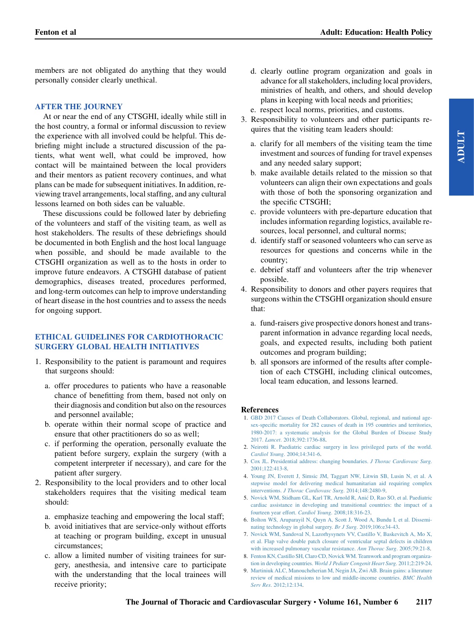members are not obligated do anything that they would personally consider clearly unethical.

#### AFTER THE JOURNEY

At or near the end of any CTSGHI, ideally while still in the host country, a formal or informal discussion to review the experience with all involved could be helpful. This debriefing might include a structured discussion of the patients, what went well, what could be improved, how contact will be maintained between the local providers and their mentors as patient recovery continues, and what plans can be made for subsequent initiatives. In addition, reviewing travel arrangements, local staffing, and any cultural lessons learned on both sides can be valuable.

These discussions could be followed later by debriefing of the volunteers and staff of the visiting team, as well as host stakeholders. The results of these debriefings should be documented in both English and the host local language when possible, and should be made available to the CTSGHI organization as well as to the hosts in order to improve future endeavors. A CTSGHI database of patient demographics, diseases treated, procedures performed, and long-term outcomes can help to improve understanding of heart disease in the host countries and to assess the needs for ongoing support.

### ETHICAL GUIDELINES FOR CARDIOTHORACIC SURGERY GLOBAL HEALTH INITIATIVES

- 1. Responsibility to the patient is paramount and requires that surgeons should:
	- a. offer procedures to patients who have a reasonable chance of benefitting from them, based not only on their diagnosis and condition but also on the resources and personnel available;
	- b. operate within their normal scope of practice and ensure that other practitioners do so as well;
	- c. if performing the operation, personally evaluate the patient before surgery, explain the surgery (with a competent interpreter if necessary), and care for the patient after surgery.
- 2. Responsibility to the local providers and to other local stakeholders requires that the visiting medical team should:
	- a. emphasize teaching and empowering the local staff;
	- b. avoid initiatives that are service-only without efforts at teaching or program building, except in unusual circumstances;
	- c. allow a limited number of visiting trainees for surgery, anesthesia, and intensive care to participate with the understanding that the local trainees will receive priority;
- d. clearly outline program organization and goals in advance for all stakeholders, including local providers, ministries of health, and others, and should develop plans in keeping with local needs and priorities;
- e. respect local norms, priorities, and customs.
- 3. Responsibility to volunteers and other participants requires that the visiting team leaders should:
	- a. clarify for all members of the visiting team the time investment and sources of funding for travel expenses and any needed salary support;
	- b. make available details related to the mission so that volunteers can align their own expectations and goals with those of both the sponsoring organization and the specific CTSGHI;
	- c. provide volunteers with pre-departure education that includes information regarding logistics, available resources, local personnel, and cultural norms;
	- d. identify staff or seasoned volunteers who can serve as resources for questions and concerns while in the country;
	- e. debrief staff and volunteers after the trip whenever possible.
- 4. Responsibility to donors and other payers requires that surgeons within the CTSGHI organization should ensure that:
	- a. fund-raisers give prospective donors honest and transparent information in advance regarding local needs, goals, and expected results, including both patient outcomes and program building;
	- b. all sponsors are informed of the results after completion of each CTSGHI, including clinical outcomes, local team education, and lessons learned.

#### <span id="page-3-0"></span>References

- 1. [GBD 2017 Causes of Death Collaborators. Global, regional, and national age](http://refhub.elsevier.com/S0022-5223(20)31320-9/sref1)[sex-specific mortality for 282 causes of death in 195 countries and territories,](http://refhub.elsevier.com/S0022-5223(20)31320-9/sref1) [1980-2017: a systematic analysis for the Global Burden of Disease Study](http://refhub.elsevier.com/S0022-5223(20)31320-9/sref1) 2017. Lancet[. 2018;392:1736-88.](http://refhub.elsevier.com/S0022-5223(20)31320-9/sref1)
- <span id="page-3-1"></span>2. [Neirotti R. Paediatric cardiac surgery in less privileged parts of the world.](http://refhub.elsevier.com/S0022-5223(20)31320-9/sref2) Cardiol Young[. 2004;14:341-6](http://refhub.elsevier.com/S0022-5223(20)31320-9/sref2).
- <span id="page-3-2"></span>3. [Cox JL. Presidential address: changing boundaries.](http://refhub.elsevier.com/S0022-5223(20)31320-9/sref3) J Thorac Cardiovasc Surg. [2001;122:413-8](http://refhub.elsevier.com/S0022-5223(20)31320-9/sref3).
- <span id="page-3-3"></span>4. [Young JN, Everett J, Simsic JM, Taggart NW, Litwin SB, Lusin N, et al. A](http://refhub.elsevier.com/S0022-5223(20)31320-9/sref4) [stepwise model for delivering medical humanitarian aid requiring complex](http://refhub.elsevier.com/S0022-5223(20)31320-9/sref4) interventions. [J Thorac Cardiovasc Surg](http://refhub.elsevier.com/S0022-5223(20)31320-9/sref4). 2014;148:2480-9.
- <span id="page-3-4"></span>5. [Novick WM, Stidham GL, Karl TR, Arnold R, Ani](http://refhub.elsevier.com/S0022-5223(20)31320-9/sref5)[c D, Rao SO, et al. Paediatric](http://refhub.elsevier.com/S0022-5223(20)31320-9/sref5) [cardiac assistance in developing and transitional countries: the impact of a](http://refhub.elsevier.com/S0022-5223(20)31320-9/sref5) [fourteen year effort.](http://refhub.elsevier.com/S0022-5223(20)31320-9/sref5) Cardiol Young. 2008;18:316-23.
- <span id="page-3-5"></span>6. [Bolton WS, Aruparayil N, Quyn A, Scott J, Wood A, Bundu I, et al. Dissemi](http://refhub.elsevier.com/S0022-5223(20)31320-9/sref6)[nating technology in global surgery.](http://refhub.elsevier.com/S0022-5223(20)31320-9/sref6) Br J Surg. 2019;106:e34-43.
- 7. [Novick WM, Sandoval N, Lazorhysynets VV, Castillo V, Baskevitch A, Mo X,](http://refhub.elsevier.com/S0022-5223(20)31320-9/sref7) [et al. Flap valve double patch closure of ventricular septal defects in children](http://refhub.elsevier.com/S0022-5223(20)31320-9/sref7) [with increased pulmonary vascular resistance.](http://refhub.elsevier.com/S0022-5223(20)31320-9/sref7) Ann Thorac Surg. 2005;79:21-8.
- <span id="page-3-7"></span>8. [Fenton KN, Castillo SH, Claro CD, Novick WM. Teamwork and program organiza](http://refhub.elsevier.com/S0022-5223(20)31320-9/sref8)tion in developing countries. [World J Pediatr Congenit Heart Surg](http://refhub.elsevier.com/S0022-5223(20)31320-9/sref8). 2011;2:219-24.
- <span id="page-3-6"></span>9. [Martiniuk ALC, Manoucheherian M, Negin JA, Zwi AB. Brain gains: a literature](http://refhub.elsevier.com/S0022-5223(20)31320-9/sref9) [review of medical missions to low and middle-income countries.](http://refhub.elsevier.com/S0022-5223(20)31320-9/sref9) BMC Health Serv Res[. 2012;12:134](http://refhub.elsevier.com/S0022-5223(20)31320-9/sref9).